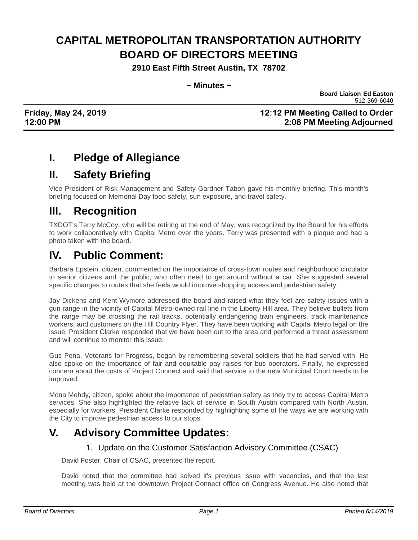# **CAPITAL METROPOLITAN TRANSPORTATION AUTHORITY BOARD OF DIRECTORS MEETING**

**2910 East Fifth Street Austin, TX 78702**

#### **~ Minutes ~**

**Board Liaison Ed Easton** 512-369-6040

#### **Friday, May 24, 2019 12:12 PM Meeting Called to Order 12:00 PM 2:08 PM Meeting Adjourned**

# **I. Pledge of Allegiance**

# **II. Safety Briefing**

Vice President of Risk Management and Safety Gardner Tabon gave his monthly briefing. This month's briefing focused on Memorial Day food safety, sun exposure, and travel safety.

# **III. Recognition**

TXDOT's Terry McCoy, who will be retiring at the end of May, was recognized by the Board for his efforts to work collaboratively with Capital Metro over the years. Terry was presented with a plaque and had a photo taken with the board.

# **IV. Public Comment:**

Barbara Epstein, citizen, commented on the importance of cross-town routes and neighborhood circulator to senior citizens and the public, who often need to get around without a car. She suggested several specific changes to routes that she feels would improve shopping access and pedestrian safety.

Jay Dickens and Kent Wymore addressed the board and raised what they feel are safety issues with a gun range in the vicinity of Capital Metro-owned rail line in the Liberty Hill area. They believe bullets from the range may be crossing the rail tracks, potentially endangering train engineers, track maintenance workers, and customers on the Hill Country Flyer. They have been working with Capital Metro legal on the issue. President Clarke responded that we have been out to the area and performed a threat assessment and will continue to monitor this issue.

Gus Pena, Veterans for Progress, began by remembering several soldiers that he had served with. He also spoke on the importance of fair and equitable pay raises for bus operators. Finally, he expressed concern about the costs of Project Connect and said that service to the new Municipal Court needs to be improved.

Mona Mehdy, citizen, spoke about the importance of pedestrian safety as they try to access Capital Metro services. She also highlighted the relative lack of service in South Austin compared with North Austin, especially for workers. President Clarke responded by highlighting some of the ways we are working with the City to improve pedestrian access to our stops.

# **V. Advisory Committee Updates:**

#### 1. Update on the Customer Satisfaction Advisory Committee (CSAC)

David Foster, Chair of CSAC, presented the report.

David noted that the committee had solved it's previous issue with vacancies, and that the last meeting was held at the downtown Project Connect office on Congress Avenue. He also noted that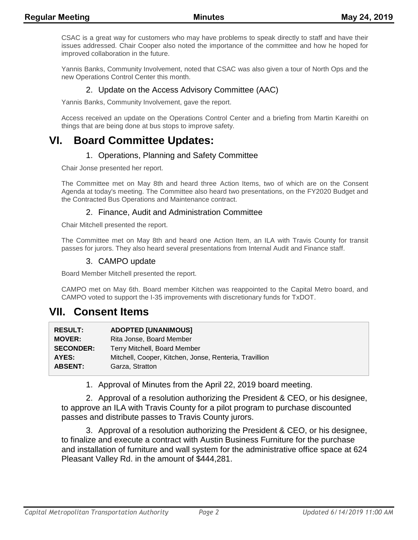CSAC is a great way for customers who may have problems to speak directly to staff and have their issues addressed. Chair Cooper also noted the importance of the committee and how he hoped for improved collaboration in the future.

Yannis Banks, Community Involvement, noted that CSAC was also given a tour of North Ops and the new Operations Control Center this month.

#### 2. Update on the Access Advisory Committee (AAC)

Yannis Banks, Community Involvement, gave the report.

Access received an update on the Operations Control Center and a briefing from Martin Kareithi on things that are being done at bus stops to improve safety.

### **VI. Board Committee Updates:**

#### 1. Operations, Planning and Safety Committee

Chair Jonse presented her report.

The Committee met on May 8th and heard three Action Items, two of which are on the Consent Agenda at today's meeting. The Committee also heard two presentations, on the FY2020 Budget and the Contracted Bus Operations and Maintenance contract.

#### 2. Finance, Audit and Administration Committee

Chair Mitchell presented the report.

The Committee met on May 8th and heard one Action Item, an ILA with Travis County for transit passes for jurors. They also heard several presentations from Internal Audit and Finance staff.

#### 3. CAMPO update

Board Member Mitchell presented the report.

CAMPO met on May 6th. Board member Kitchen was reappointed to the Capital Metro board, and CAMPO voted to support the I-35 improvements with discretionary funds for TxDOT.

### **VII. Consent Items**

| <b>RESULT:</b>   | <b>ADOPTED [UNANIMOUS]</b>                             |
|------------------|--------------------------------------------------------|
| <b>MOVER:</b>    | Rita Jonse, Board Member                               |
| <b>SECONDER:</b> | Terry Mitchell, Board Member                           |
| AYES:            | Mitchell, Cooper, Kitchen, Jonse, Renteria, Travillion |
| <b>ABSENT:</b>   | Garza, Stratton                                        |

1. Approval of Minutes from the April 22, 2019 board meeting.

2. Approval of a resolution authorizing the President & CEO, or his designee, to approve an ILA with Travis County for a pilot program to purchase discounted passes and distribute passes to Travis County jurors.

3. Approval of a resolution authorizing the President & CEO, or his designee, to finalize and execute a contract with Austin Business Furniture for the purchase and installation of furniture and wall system for the administrative office space at 624 Pleasant Valley Rd. in the amount of \$444,281.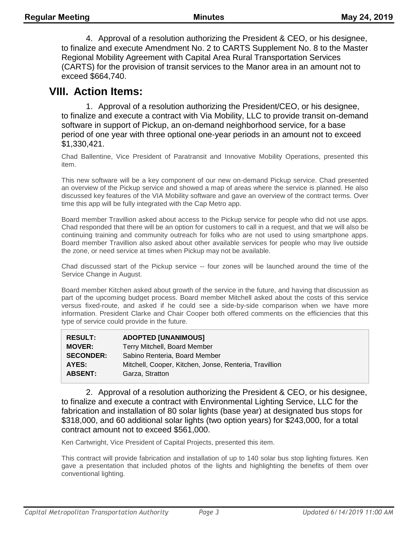4. Approval of a resolution authorizing the President & CEO, or his designee, to finalize and execute Amendment No. 2 to CARTS Supplement No. 8 to the Master Regional Mobility Agreement with Capital Area Rural Transportation Services (CARTS) for the provision of transit services to the Manor area in an amount not to exceed \$664,740.

### **VIII. Action Items:**

1. Approval of a resolution authorizing the President/CEO, or his designee, to finalize and execute a contract with Via Mobility, LLC to provide transit on-demand software in support of Pickup, an on-demand neighborhood service, for a base period of one year with three optional one-year periods in an amount not to exceed \$1,330,421.

Chad Ballentine, Vice President of Paratransit and Innovative Mobility Operations, presented this item.

This new software will be a key component of our new on-demand Pickup service. Chad presented an overview of the Pickup service and showed a map of areas where the service is planned. He also discussed key features of the VIA Mobility software and gave an overview of the contract terms. Over time this app will be fully integrated with the Cap Metro app.

Board member Travillion asked about access to the Pickup service for people who did not use apps. Chad responded that there will be an option for customers to call in a request, and that we will also be continuing training and community outreach for folks who are not used to using smartphone apps. Board member Travillion also asked about other available services for people who may live outside the zone, or need service at times when Pickup may not be available.

Chad discussed start of the Pickup service -- four zones will be launched around the time of the Service Change in August.

Board member Kitchen asked about growth of the service in the future, and having that discussion as part of the upcoming budget process. Board member Mitchell asked about the costs of this service versus fixed-route, and asked if he could see a side-by-side comparison when we have more information. President Clarke and Chair Cooper both offered comments on the efficiencies that this type of service could provide in the future.

| <b>RESULT:</b>   | <b>ADOPTED [UNANIMOUS]</b>                             |
|------------------|--------------------------------------------------------|
| <b>MOVER:</b>    | Terry Mitchell, Board Member                           |
| <b>SECONDER:</b> | Sabino Renteria, Board Member                          |
| AYES:            | Mitchell, Cooper, Kitchen, Jonse, Renteria, Travillion |
| <b>ABSENT:</b>   | Garza, Stratton                                        |

2. Approval of a resolution authorizing the President & CEO, or his designee, to finalize and execute a contract with Environmental Lighting Service, LLC for the fabrication and installation of 80 solar lights (base year) at designated bus stops for \$318,000, and 60 additional solar lights (two option years) for \$243,000, for a total contract amount not to exceed \$561,000.

Ken Cartwright, Vice President of Capital Projects, presented this item.

This contract will provide fabrication and installation of up to 140 solar bus stop lighting fixtures. Ken gave a presentation that included photos of the lights and highlighting the benefits of them over conventional lighting.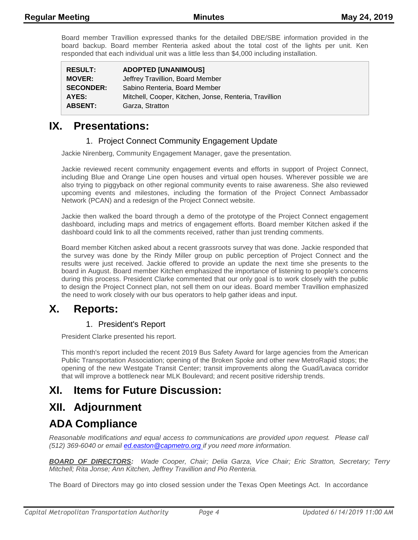Board member Travillion expressed thanks for the detailed DBE/SBE information provided in the board backup. Board member Renteria asked about the total cost of the lights per unit. Ken responded that each individual unit was a little less than \$4,000 including installation.

| <b>RESULT:</b>   | <b>ADOPTED [UNANIMOUS]</b>                             |
|------------------|--------------------------------------------------------|
| <b>MOVER:</b>    | Jeffrey Travillion, Board Member                       |
| <b>SECONDER:</b> | Sabino Renteria, Board Member                          |
| AYES:            | Mitchell, Cooper, Kitchen, Jonse, Renteria, Travillion |
| <b>ABSENT:</b>   | Garza, Stratton                                        |

### **IX. Presentations:**

#### 1. Project Connect Community Engagement Update

Jackie Nirenberg, Community Engagement Manager, gave the presentation.

Jackie reviewed recent community engagement events and efforts in support of Project Connect, including Blue and Orange Line open houses and virtual open houses. Wherever possible we are also trying to piggyback on other regional community events to raise awareness. She also reviewed upcoming events and milestones, including the formation of the Project Connect Ambassador Network (PCAN) and a redesign of the Project Connect website.

Jackie then walked the board through a demo of the prototype of the Project Connect engagement dashboard, including maps and metrics of engagement efforts. Board member Kitchen asked if the dashboard could link to all the comments received, rather than just trending comments.

Board member Kitchen asked about a recent grassroots survey that was done. Jackie responded that the survey was done by the Rindy Miller group on public perception of Project Connect and the results were just received. Jackie offered to provide an update the next time she presents to the board in August. Board member Kitchen emphasized the importance of listening to people's concerns during this process. President Clarke commented that our only goal is to work closely with the public to design the Project Connect plan, not sell them on our ideas. Board member Travillion emphasized the need to work closely with our bus operators to help gather ideas and input.

### **X. Reports:**

#### 1. President's Report

President Clarke presented his report.

This month's report included the recent 2019 Bus Safety Award for large agencies from the American Public Transportation Association; opening of the Broken Spoke and other new MetroRapid stops; the opening of the new Westgate Transit Center; transit improvements along the Guad/Lavaca corridor that will improve a bottleneck near MLK Boulevard; and recent positive ridership trends.

# **XI. Items for Future Discussion:**

### **XII. Adjournment**

# **ADA Compliance**

*Reasonable modifications and equal access to communications are provided upon request. Please call (512) 369-6040 or email ed.easton@capmetro.org if you need more information.*

*BOARD OF DIRECTORS: Wade Cooper, Chair; Delia Garza, Vice Chair; Eric Stratton, Secretary; Terry Mitchell; Rita Jonse; Ann Kitchen, Jeffrey Travillion and Pio Renteria.* 

The Board of Directors may go into closed session under the Texas Open Meetings Act. In accordance